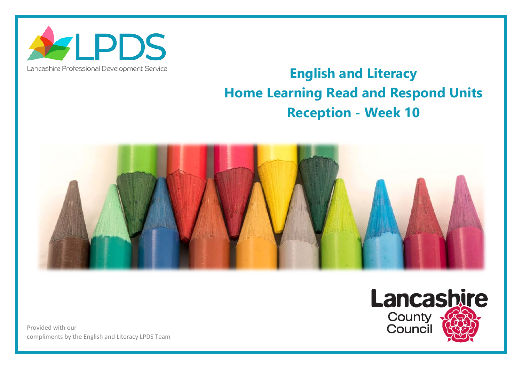

Lancashire Professional Development Service

## **English and Literacy Home Learning Read and Respond Units Reception - Week 10**

Lancashire

**County**<br>**Council** 



Provided with our compliments by the English and Literacy LPDS Team